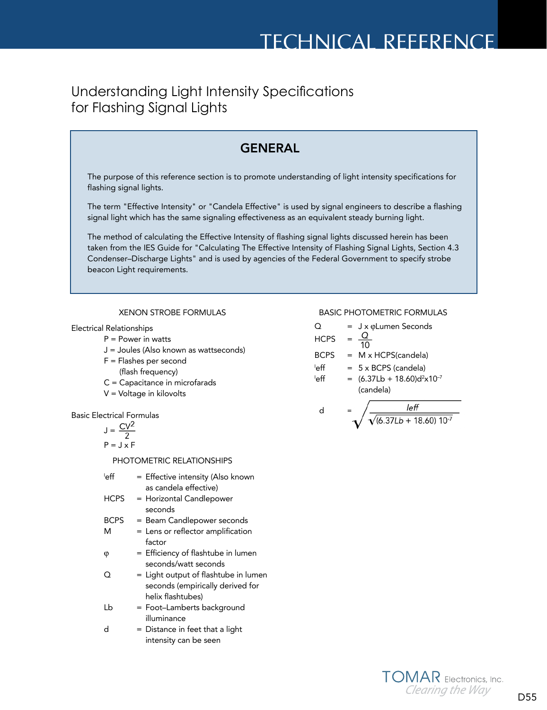# Understanding Light Intensity Specifications for Flashing Signal Lights



- 
- J = Joules (Also known as wattseconds)
- F = Flashes per second
	- (flash frequency)
- C = Capacitance in microfarads
- V = Voltage in kilovolts

Basic Electrical Formulas

$$
J = \frac{CV^2}{2}
$$

$$
P = J \times F
$$

PHOTOMETRIC RELATIONSHIPS

- leff = Effective intensity (Also known as candela effective)
- HCPS = Horizontal Candlepower seconds
- BCPS = Beam Candlepower seconds
- M = Lens or reflector amplification factor
- $\varphi =$  Efficiency of flashtube in lumen seconds/watt seconds
- $Q =$  Light output of flashtube in lumen seconds (empirically derived for helix flashtubes)
- Lb = Foot-Lamberts background illuminance
- $d =$  Distance in feet that a light intensity can be seen

$$
PS = \frac{10}{10}
$$

 $\mathsf{d}$ 

$$
BCPS = M \times HCPS(candela)
$$

- leff  $= 5 \times BCPS$  (candela) ∣eff
- $eff$  = (6.37Lb + 18.60)d<sup>2</sup>x10<sup>-7</sup> (candela)

$$
=\sqrt{\frac{left}{\sqrt{(6.37Lb+18.60) 10^{-7}}}}
$$

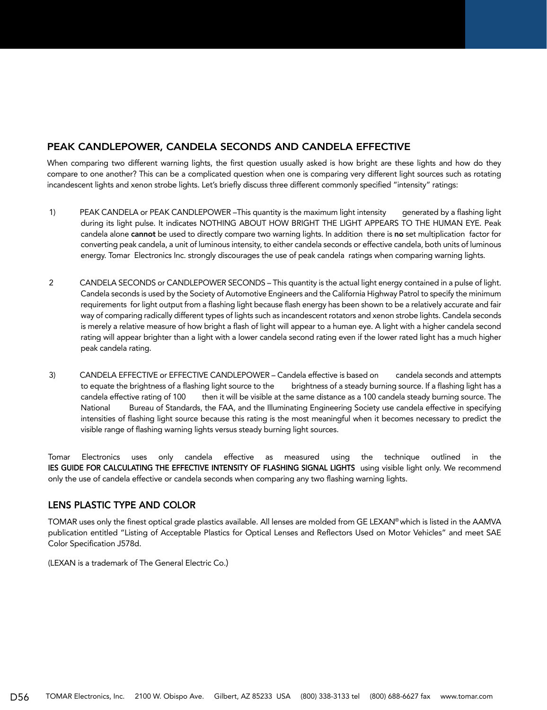## PEAK CANDLEPOWER, CANDELA SECONDS AND CANDELA EFFECTIVE

When comparing two different warning lights, the first question usually asked is how bright are these lights and how do they compare to one another? This can be a complicated question when one is comparing very different light sources such as rotating incandescent lights and xenon strobe lights. Let's briefly discuss three different commonly specified "intensity" ratings:

- 1) PEAK CANDELA or PEAK CANDLEPOWER –This quantity is the maximum light intensity generated by a flashing light during its light pulse. It indicates NOTHING ABOUT HOW BRIGHT THE LIGHT APPEARS TO THE HUMAN EYE. Peak candela alone cannot be used to directly compare two warning lights. In addition there is no set multiplication factor for converting peak candela, a unit of luminous intensity, to either candela seconds or effective candela, both units of luminous energy. Tomar Electronics Inc. strongly discourages the use of peak candela ratings when comparing warning lights.
- 2 CANDELA SECONDS or CANDLEPOWER SECONDS This quantity is the actual light energy contained in a pulse of light. Candela seconds is used by the Society of Automotive Engineers and the California Highway Patrol to specify the minimum requirements for light output from a flashing light because flash energy has been shown to be a relatively accurate and fair way of comparing radically different types of lights such as incandescent rotators and xenon strobe lights. Candela seconds is merely a relative measure of how bright a flash of light will appear to a human eye. A light with a higher candela second rating will appear brighter than a light with a lower candela second rating even if the lower rated light has a much higher peak candela rating.
- 3) CANDELA EFFECTIVE or EFFECTIVE CANDLEPOWER Candela effective is based on candela seconds and attempts to equate the brightness of a flashing light source to the brightness of a steady burning source. If a flashing light has a candela effective rating of 100 then it will be visible at the same distance as a 100 candela steady burning source. The National Bureau of Standards, the FAA, and the Illuminating Engineering Society use candela effective in specifying intensities of flashing light source because this rating is the most meaningful when it becomes necessary to predict the visible range of flashing warning lights versus steady burning light sources.

Tomar Electronics uses only candela effective as measured using the technique outlined in the IES GUIDE FOR CALCULATING THE EFFECTIVE INTENSITY OF FLASHING SIGNAL LIGHTS using visible light only. We recommend only the use of candela effective or candela seconds when comparing any two flashing warning lights.

### LENS PLASTIC TYPE AND COLOR

TOMAR uses only the finest optical grade plastics available. All lenses are molded from GE LEXAN® which is listed in the AAMVA publication entitled "Listing of Acceptable Plastics for Optical Lenses and Reflectors Used on Motor Vehicles" and meet SAE Color Specification J578d.

(LEXAN is a trademark of The General Electric Co.)